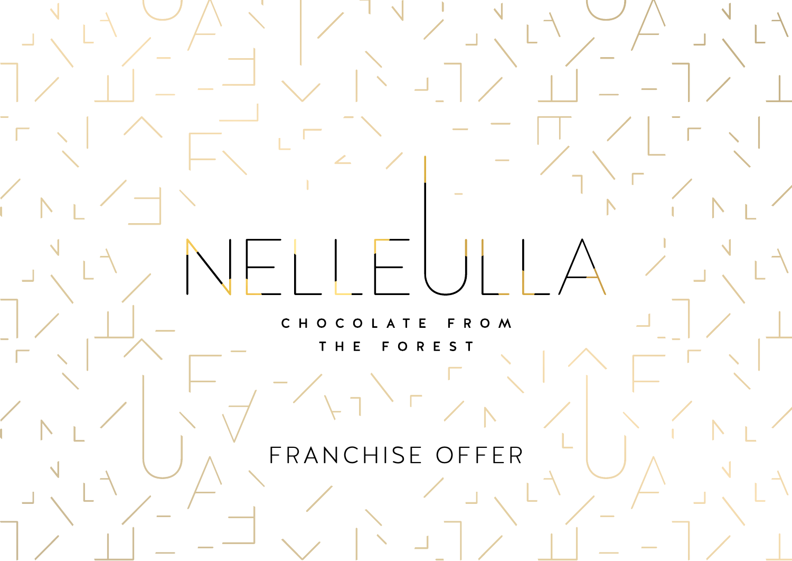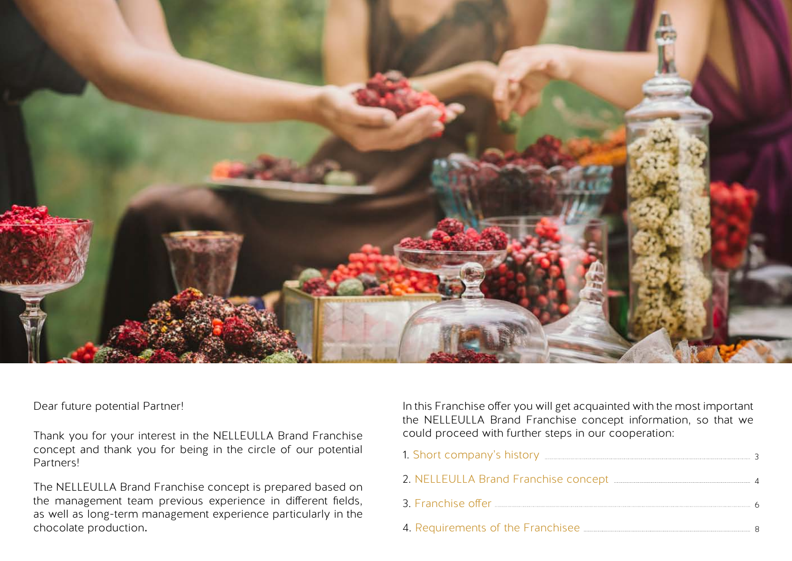

Dear future potential Partner!

Thank you for your interest in the NELLEULLA Brand Franchise concept and thank you for being in the circle of our potential Partners!

The NELLEULLA Brand Franchise concept is prepared based on the management team previous experience in different fields, as well as long-term management experience particularly in the chocolate production.

In this Franchise offer you will get acquainted with the most important the NELLEULLA Brand Franchise concept information, so that we could proceed with further steps in our cooperation: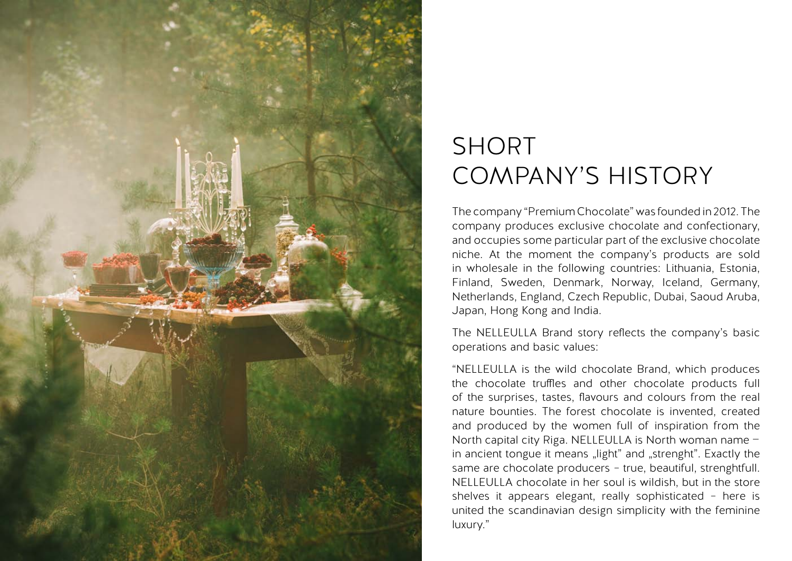

# SHORT COMPANY'S HISTORY

The company "Premium Chocolate" was founded in 2012. The company produces exclusive chocolate and confectionary, and occupies some particular part of the exclusive chocolate niche. At the moment the company's products are sold in wholesale in the following countries: Lithuania, Estonia, Finland, Sweden, Denmark, Norway, Iceland, Germany, Netherlands, England, Czech Republic, Dubai, Saoud Aruba, Japan, Hong Kong and India.

The NELLEULLA Brand story reflects the company's basic operations and basic values:

"NELLEULLA is the wild chocolate Brand, which produces the chocolate truffles and other chocolate products full of the surprises, tastes, flavours and colours from the real nature bounties. The forest chocolate is invented, created and produced by the women full of inspiration from the North capital city Riga. NELLEULLA is North woman name in ancient tongue it means "light" and "strenght". Exactly the same are chocolate producers – true, beautiful, strenghtfull. NELLEULLA chocolate in her soul is wildish, but in the store shelves it appears elegant, really sophisticated – here is united the scandinavian design simplicity with the feminine luxury."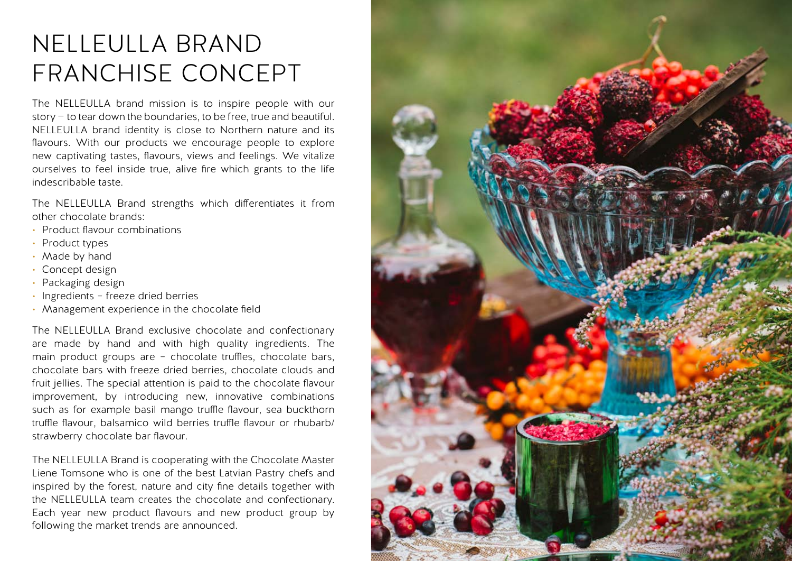## NELLEULLA BRAND FRANCHISE CONCEPT

The NELLEULLA brand mission is to inspire people with our story — to tear down the boundaries, to be free, true and beautiful. NELLEULLA brand identity is close to Northern nature and its flavours. With our products we encourage people to explore new captivating tastes, flavours, views and feelings. We vitalize ourselves to feel inside true, alive fire which grants to the life indescribable taste.

The NELLEULLA Brand strengths which differentiates it from other chocolate brands:

- Product flavour combinations
- Product types
- Made by hand
- Concept design
- Packaging design
- Ingredients freeze dried berries
- Management experience in the chocolate field

The NELLEULLA Brand exclusive chocolate and confectionary are made by hand and with high quality ingredients. The main product groups are – chocolate truffles, chocolate bars, chocolate bars with freeze dried berries, chocolate clouds and fruit jellies. The special attention is paid to the chocolate flavour improvement, by introducing new, innovative combinations such as for example basil mango truffle flavour, sea buckthorn truffle flavour, balsamico wild berries truffle flavour or rhubarb/ strawberry chocolate bar flavour.

The NELLEULLA Brand is cooperating with the Chocolate Master Liene Tomsone who is one of the best Latvian Pastry chefs and inspired by the forest, nature and city fine details together with the NELLEULLA team creates the chocolate and confectionary. Each year new product flavours and new product group by following the market trends are announced.

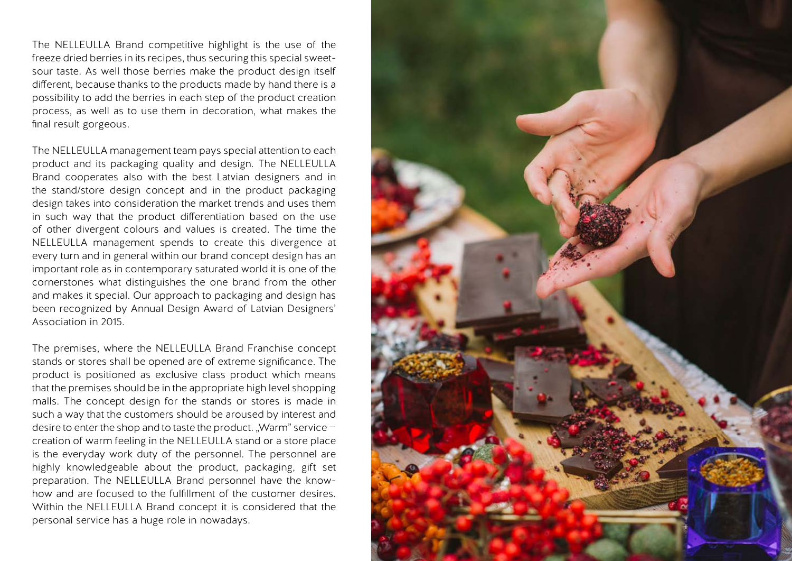The NELLEULLA Brand competitive highlight is the use of the freeze dried berries in its recipes, thus securing this special sweetsour taste. As well those berries make the product design itself different, because thanks to the products made by hand there is a possibility to add the berries in each step of the product creation process, as well as to use them in decoration, what makes the final result gorgeous.

The NELLEULLA management team pays special attention to each product and its packaging quality and design. The NELLEULLA Brand cooperates also with the best Latvian designers and in the stand/store design concept and in the product packaging design takes into consideration the market trends and uses them in such way that the product differentiation based on the use of other divergent colours and values is created. The time the NELLEULLA management spends to create this divergence at every turn and in general within our brand concept design has an important role as in contemporary saturated world it is one of the cornerstones what distinguishes the one brand from the other and makes it special. Our approach to packaging and design has been recognized by Annual Design Award of Latvian Designers' Association in 2015.

The premises, where the NELLEULLA Brand Franchise concept stands or stores shall be opened are of extreme significance. The product is positioned as exclusive class product which means that the premises should be in the appropriate high level shopping malls. The concept design for the stands or stores is made in such a way that the customers should be aroused by interest and desire to enter the shop and to taste the product. "Warm" service  $$ creation of warm feeling in the NELLEULLA stand or a store place is the everyday work duty of the personnel. The personnel are highly knowledgeable about the product, packaging, gift set preparation. The NELLEULLA Brand personnel have the knowhow and are focused to the fulfillment of the customer desires. Within the NELLEULLA Brand concept it is considered that the personal service has a huge role in nowadays.

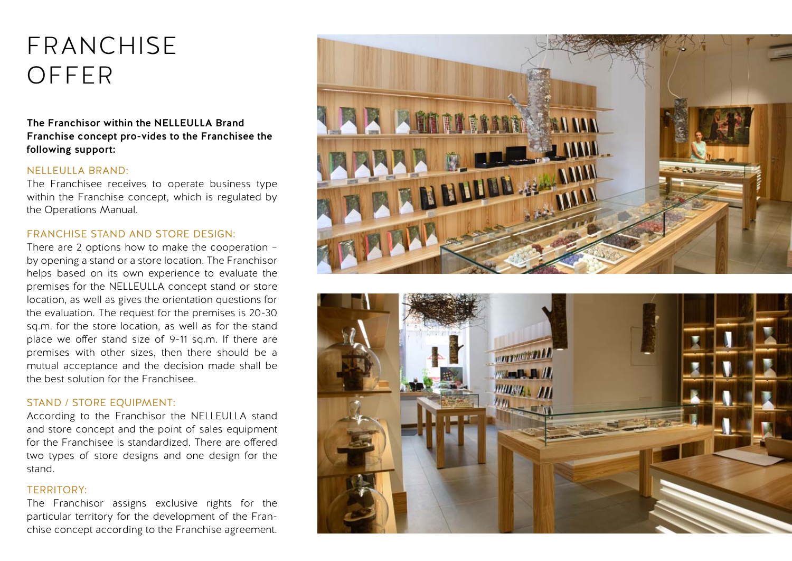# FRANCHISE OFFER

The Franchisor within the NELLEULLA Brand Franchise concept pro-vides to the Franchisee the following support:

#### NELLEULLA BRAND:

The Franchisee receives to operate business type within the Franchise concept, which is regulated by the Operations Manual.

### FRANCHISE STAND AND STORE DESIGN:

There are 2 options how to make the cooperation – by opening a stand or a store location. The Franchisor helps based on its own experience to evaluate the premises for the NELLEULLA concept stand or store location, as well as gives the orientation questions for the evaluation. The request for the premises is 20-30 sq.m. for the store location, as well as for the stand place we offer stand size of 9-11 sq.m. If there are premises with other sizes, then there should be a mutual acceptance and the decision made shall be the best solution for the Franchisee.

#### STAND / STORE EQUIPMENT:

According to the Franchisor the NELLEULLA stand and store concept and the point of sales equipment for the Franchisee is standardized. There are offered two types of store designs and one design for the stand.

#### TERRITORY:

The Franchisor assigns exclusive rights for the particular territory for the development of the Franchise concept according to the Franchise agreement.



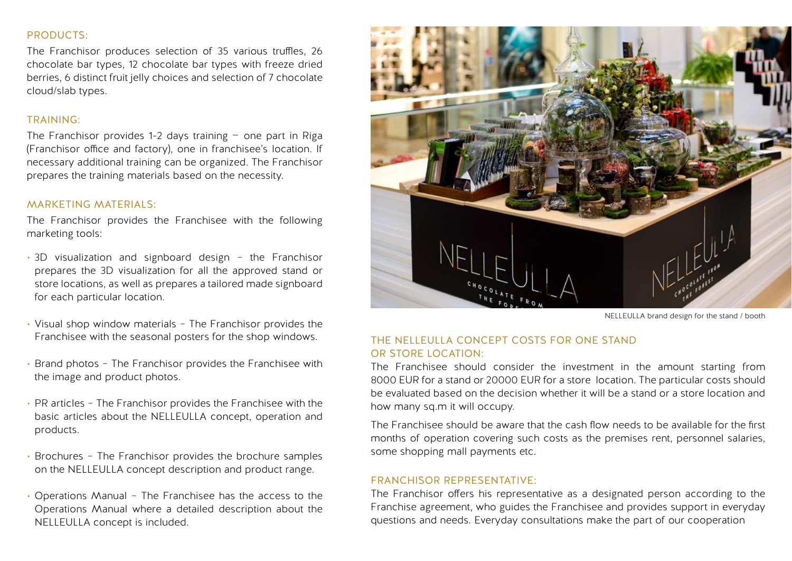### PRODUCTS:

The Franchisor produces selection of 35 various truffles, 26 chocolate bar types, 12 chocolate bar types with freeze dried berries, 6 distinct fruit jelly choices and selection of 7 chocolate cloud/slab types.

#### TRAINING:

The Franchisor provides 1-2 days training  $-$  one part in Riga (Franchisor office and factory), one in franchisee's location. If necessary additional training can be organized. The Franchisor prepares the training materials based on the necessity.

#### MARKETING MATERIALS:

The Franchisor provides the Franchisee with the following marketing tools:

- 3D visualization and signboard design the Franchisor prepares the 3D visualization for all the approved stand or store locations, as well as prepares a tailored made signboard for each particular location.
- Visual shop window materials The Franchisor provides the Franchisee with the seasonal posters for the shop windows.
- Brand photos The Franchisor provides the Franchisee with the image and product photos.
- PR articles The Franchisor provides the Franchisee with the basic articles about the NELLEULLA concept, operation and products.
- Brochures The Franchisor provides the brochure samples on the NELLEULLA concept description and product range.
- Operations Manual The Franchisee has the access to the Operations Manual where a detailed description about the NELLEULLA concept is included.



NELLEULLA brand design for the stand / booth

#### THE NELLEULLA CONCEPT COSTS FOR ONE STAND OR STORE LOCATION:

The Franchisee should consider the investment in the amount starting from 8000 EUR for a stand or 20000 EUR for a store location. The particular costs should be evaluated based on the decision whether it will be a stand or a store location and how many sq.m it will occupy.

The Franchisee should be aware that the cash flow needs to be available for the first months of operation covering such costs as the premises rent, personnel salaries, some shopping mall payments etc.

#### FRANCHISOR REPRESENTATIVE:

The Franchisor offers his representative as a designated person according to the Franchise agreement, who guides the Franchisee and provides support in everyday questions and needs. Everyday consultations make the part of our cooperation